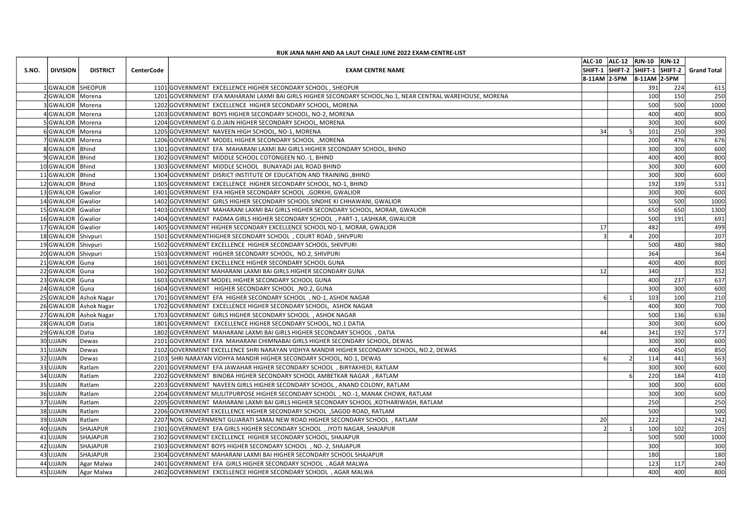|                                            |                        |                   | RUK JANA NAHI AND AA LAUT CHALE JUNE 2022 EXAM-CENTRE-LIST                                                                                                                 |                 | ALC-10 ALC-12 RJN-10 RJN-12 |            |                                             |
|--------------------------------------------|------------------------|-------------------|----------------------------------------------------------------------------------------------------------------------------------------------------------------------------|-----------------|-----------------------------|------------|---------------------------------------------|
| S.NO.<br>DIVISION                          | <b>DISTRICT</b>        | <b>CenterCode</b> | <b>EXAM CENTRE NAME</b>                                                                                                                                                    | 8-11AM 2-5PM    | 8-11AM 2-5PM                |            | SHIFT-1 SHIFT-2 SHIFT-1 SHIFT-2 Grand Total |
|                                            | L GWALIOR  SHEOPUR     |                   | 1101 GOVERNMENT EXCELLENCE HIGHER SECONDARY SCHOOL, SHEOPUR                                                                                                                |                 | 391                         | 224        | 615                                         |
| 2 GWALIOR   Morena                         |                        |                   | 1201 GOVERNMENT EFA MAHARANI LAXMI BAI GIRLS HIGHER SECONDARY SCHOOL, No.1, NEAR CENTRAL WAREHOUSE, MORENA                                                                 |                 | 100                         | 150        | 250                                         |
| 3 GWALIOR   Morena<br>4GWALIOR Morena      |                        |                   | 1202 GOVERNMENT EXCELLENCE HIGHER SECONDARY SCHOOL, MORENA<br>1203 GOVERNMENT BOYS HIGHER SECONDARY SCHOOL, NO-2, MORENA                                                   |                 | 500<br>400                  | 500<br>400 | 1000<br>800                                 |
| 5GWALIOR Morena                            |                        |                   | 1204 GOVERNMENT G.D.JAIN HIGHER SECONDARY SCHOOL, MORENA                                                                                                                   |                 | 300                         | 300        | 600                                         |
| 6GWALIOR Morena                            |                        |                   | 1205 GOVERNMENT NAVEEN HIGH SCHOOL, NO-1, MORENA                                                                                                                           | 34              | 101                         | 250        | 390                                         |
| 7 GWALIOR  Morena<br>8GWALIOR Bhind        |                        |                   | 1206 GOVERNMENT MODEL HIGHER SECONDARY SCHOOL, MORENA<br>1301 GOVERNMENT EFA MAHARANI LAXMI BAI GIRLS HIGHER SECONDARY SCHOOL, BHIND                                       |                 | 200<br>300                  | 476<br>300 | 676<br>600                                  |
| 9GWALIOR Bhind                             |                        |                   | 1302 GOVERNMENT MIDDLE SCHOOL COTONGEEN NO.-1, BHIND                                                                                                                       |                 | 400                         | 400        | 800                                         |
| 10 GWALIOR   Bhind                         |                        |                   | 1303 GOVERNMENT MIDDLE SCHOOL BUNAYADI JAIL ROAD BHIND                                                                                                                     |                 | 300                         | 300        | 600                                         |
| 11 GWALIOR   Bhind<br>12 GWALIOR   Bhind   |                        |                   | 1304 GOVERNMENT DISRICT INSTITUTE OF EDUCATION AND TRAINING, BHIND<br>1305 GOVERNMENT EXCELLENCE HIGHER SECONDARY SCHOOL, NO-1, BHIND                                      |                 | 300<br>192                  | 300<br>339 | 600<br>531                                  |
| 13 GWALIOR Gwalior                         |                        |                   | 1401 GOVERNMENT EFA HIGHER SECONDARY SCHOOL , GORKHI, GWALIOR                                                                                                              |                 | 300                         | 300        | 600                                         |
| 14 GWALIOR Gwalior                         |                        |                   | 1402 GOVERNMENT GIRLS HIGHER SECONDARY SCHOOL SINDHE KI CHHAWANI, GWALIOR                                                                                                  |                 | 500                         | 500        | 1000                                        |
| 15 GWALIOR Gwalior<br>16 GWALIOR Gwalior   |                        |                   | 1403 GOVERNMENT MAHARANI LAXMI BAI GIRLS HIGHER SECONDARY SCHOOL, MORAR, GWALIOR<br>1404 GOVERNMENT PADMA GIRLS HIGHER SECONDARY SCHOOL, PART-1, LASHKAR, GWALIOR          |                 | 650<br>500                  | 650<br>191 | 1300<br>691                                 |
| 17 GWALIOR Gwalior                         |                        |                   | 1405 GOVERNMENT HIGHER SECONDARY EXCELLENCE SCHOOL NO-1, MORAR, GWALIOR                                                                                                    | 17 <sup>1</sup> | 482                         |            | 499                                         |
| 18 GWALIOR Shivpuri                        |                        |                   | 1501 GOVERNMENTHIGHER SECONDARY SCHOOL, COURT ROAD, SHIVPURI                                                                                                               |                 | 200                         |            | 207                                         |
| 19 GWALIOR Shivpuri<br>20 GWALIOR Shivpuri |                        |                   | 1502 GOVERNMENT EXCELLENCE HIGHER SECONDARY SCHOOL, SHIVPURI<br>1503 GOVERNMENT HIGHER SECONDARY SCHOOL, NO.2, SHIVPURI                                                    |                 | 500<br>364                  | 480        | 980<br>364                                  |
| 21 GWALIOR Guna                            |                        |                   | 1601 GOVERNMENT EXCELLENCE HIGHER SECONDARY SCHOOL GUNA                                                                                                                    |                 | 400                         | 400        | 800                                         |
| 22 GWALIOR Guna                            |                        |                   | 1602 GOVERNMENT MAHARANI LAXMI BAI GIRLS HIGHER SECONDARY GUNA                                                                                                             | 12              | 340                         |            | 352                                         |
| 23 GWALIOR Guna<br>24 GWALIOR Guna         |                        |                   | 1603 GOVERNMENT MODEL HIGHER SECONDARY SCHOOL GUNA<br>1604 GOVERNMENT HIGHER SECONDARY SCHOOL , NO.2, GUNA                                                                 |                 | 400<br>300                  | 237<br>300 | 637<br>600                                  |
|                                            | 25 GWALIOR Ashok Nagar |                   | 1701 GOVERNMENT EFA HIGHER SECONDARY SCHOOL, NO-1, ASHOK NAGAR                                                                                                             |                 | 103                         | 100        | 210                                         |
|                                            | 26 GWALIOR Ashok Nagar |                   | 1702 GOVERNMENT EXCELLENCE HIGHER SECONDARY SCHOOL, ASHOK NAGAR                                                                                                            |                 | 400                         | 300        | 700                                         |
| 28 GWALIOR Datia                           | 27 GWALIOR Ashok Nagar |                   | 1703 GOVERNMENT GIRLS HIGHER SECONDARY SCHOOL, ASHOK NAGAR<br>1801 GOVERNMENT EXCELLENCE HIGHER SECONDARY SCHOOL, NO.1 DATIA                                               |                 | 500<br>300                  | 136<br>300 | 636<br>600                                  |
| 29 GWALIOR Datia                           |                        |                   | 1802 GOVERNMENT MAHARANI LAXMI BAI GIRLS HIGHER SECONDARY SCHOOL, DATIA                                                                                                    | 44              | 341                         | 192        | 577                                         |
| 30 UJJAIN                                  | Dewas                  |                   | 2101 GOVERNMENT EFA MAHARANI CHIMNABAI GIRLS HIGHER SECONDARY SCHOOL, DEWAS                                                                                                |                 | 300                         | 300        | 600                                         |
| 31 UJJAIN<br>32 UJJAIN                     | Dewas<br>Dewas         |                   | 2102 GOVERNMENT EXCELLENCE SHRI NARAYAN VIDHYA MANDIR HIGHER SECONDARY SCHOOL, NO.2, DEWAS<br>2103 SHRI NARAYAN VIDHYA MANDIR HIGHER SECONDARY SCHOOL, NO.1, DEWAS         |                 | 400<br>114                  | 450<br>441 | 850<br>563                                  |
| 33 UJJAIN                                  | Ratlam                 |                   | 2201 GOVERNMENT EFA JAWAHAR HIGHER SECONDARY SCHOOL, BIRYAKHEDI, RATLAM                                                                                                    |                 | 300                         | 300        | 600                                         |
| 34 UJJAIN                                  | Ratlam                 |                   | 2202 GOVERNMENT BINOBA HIGHER SECONDARY SCHOOL AMBETKAR NAGAR, RATLAM                                                                                                      |                 | 220                         | 184        | 410                                         |
| 35 UJJAIN                                  | Ratlam                 |                   | 2203 GOVERNMENT NAVEEN GIRLS HIGHER SECONDARY SCHOOL, ANAND COLONY, RATLAM                                                                                                 |                 | 300                         | 300        | 600                                         |
| 36 UJJAIN<br>37 UJJAIN                     | Ratlam<br>Ratlam       |                   | 2204 GOVERNMENT MULITPURPOSE HIGHER SECONDARY SCHOOL, NO.-1, MANAK CHOWK, RATLAM<br>2205 GOVERNMENT MAHARANI LAXMI BAI GIRLS HIGHER SECONDARY SCHOOL , KOTHARIWASH, RATLAM |                 | 300<br>250                  | 300        | 600<br>250                                  |
| 38 UJJAIN                                  | Ratlam                 |                   | 2206 GOVERNMENT EXCELLENCE HIGHER SECONDARY SCHOOL , SAGOD ROAD, RATLAM                                                                                                    |                 | 500                         |            | 500                                         |
| 39 UJJAIN                                  | Ratlam                 |                   | 2207 NON. GOVERNMENT GUJARATI SAMAJ NEW ROAD HIGHER SECONDARY SCHOOL, RATLAM                                                                                               | <b>20</b>       | 222                         |            | 242                                         |
| 40 UJJAIN                                  | SHAJAPUR               |                   | 2301 GOVERNMENT EFA GIRLS HIGHER SECONDARY SCHOOL, JYOTI NAGAR, SHAJAPUR                                                                                                   |                 | 100                         | 102        | 205                                         |
| $41$ UJJAIN<br>42 UJJAIN                   | SHAJAPUR<br>SHAJAPUR   |                   | 2302 GOVERNMENT EXCELLENCE HIGHER SECONDARY SCHOOL, SHAJAPUR<br>2303 GOVERNMENT BOYS HIGHER SECONDARY SCHOOL, NO.-2, SHAJAPUR                                              |                 | 500<br>300                  | 500        | 1000<br>300                                 |
| 43 UJJAIN                                  | SHAJAPUR               |                   | 2304 GOVERNMENT MAHARANI LAXMI BAI HIGHER SECONDARY SCHOOL SHAJAPUR                                                                                                        |                 | 180                         |            | 180                                         |
| 44 UJJAIN                                  | Agar Malwa             |                   | 2401 GOVERNMENT EFA GIRLS HIGHER SECONDARY SCHOOL, AGAR MALWA                                                                                                              |                 | $123$                       | 117        | 240                                         |
| 45 UJJAIN                                  | Agar Malwa             |                   | 2402 GOVERNMENT EXCELLENCE HIGHER SECONDARY SCHOOL, AGAR MALWA                                                                                                             |                 | 400                         | 400        | 800                                         |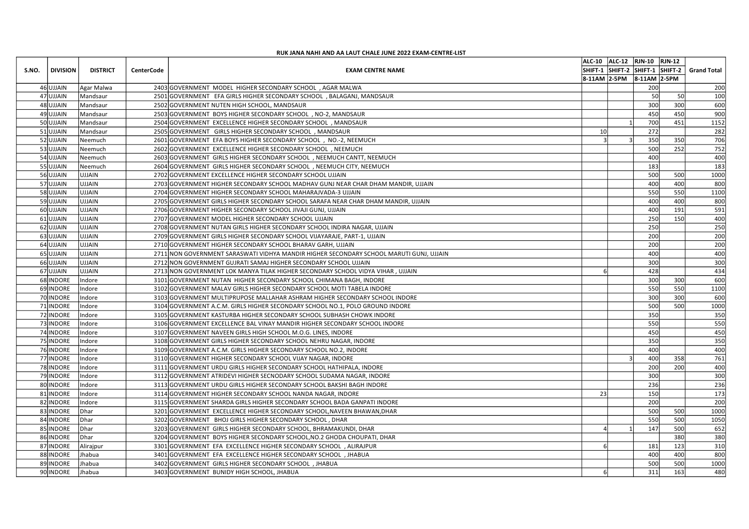|       |                                        |                      |                   | RUK JANA NAHI AND AA LAUT CHALE JUNE 2022 EXAM-CENTRE-LIST                                                                                             |                                                                                                            |
|-------|----------------------------------------|----------------------|-------------------|--------------------------------------------------------------------------------------------------------------------------------------------------------|------------------------------------------------------------------------------------------------------------|
| S.NO. | DIVISION                               | <b>DISTRICT</b>      | <b>CenterCode</b> | <b>EXAM CENTRE NAME</b>                                                                                                                                | ALC-10  ALC-12  RJN-10  RJN-12<br>SHIFT-1 SHIFT-2 SHIFT-1 SHIFT-2 Grand Total<br>8-11AM 2-5PM 8-11AM 2-5PM |
|       | 46 UJJAIN                              | Agar Malwa           |                   | 2403 GOVERNMENT MODEL HIGHER SECONDARY SCHOOL, AGAR MALWA                                                                                              | 200<br>200                                                                                                 |
|       | 47 UJJAIN                              | Mandsaur             |                   | 2501 GOVERNMENT EFA GIRLS HIGHER SECONDARY SCHOOL, BALAGANJ, MANDSAUR                                                                                  | 50l<br>50<br>100                                                                                           |
|       | 48 UJJAIN<br>49 UJJAIN                 | Mandsaur<br>Mandsaur |                   | 2502 GOVERNMENT NUTEN HIGH SCHOOL, MANDSAUR<br>2503 GOVERNMENT BOYS HIGHER SECONDARY SCHOOL, NO-2, MANDSAUR                                            | 300<br>300<br>600<br>450<br>450<br>900                                                                     |
|       | 50 UJJAIN                              | Mandsaur             |                   | 2504 GOVERNMENT EXCELLENCE HIGHER SECONDARY SCHOOL, MANDSAUR                                                                                           | 700<br>451<br>1152                                                                                         |
|       | 51 UJJAIN                              | Mandsaur             |                   | 2505 GOVERNMENT GIRLS HIGHER SECONDARY SCHOOL, MANDSAUR                                                                                                | 10 <sup>1</sup><br>272<br>282                                                                              |
|       | 52 UJJAIN<br>53 UJJAIN                 | Neemuch<br>Neemuch   |                   | 2601 GOVERNMENT EFA BOYS HIGHER SECONDARY SCHOOL, NO.-2, NEEMUCH<br>2602 GOVERNMENT EXCELLENCE HIGHER SECONDARY SCHOOL, NEEMUCH                        | 350<br>350<br>706<br>252<br>752<br>500                                                                     |
|       | 54 UJJAIN                              | Neemuch              |                   | 2603 GOVERNMENT GIRLS HIGHER SECONDARY SCHOOL, NEEMUCH CANTT, NEEMUCH                                                                                  | 400<br>400                                                                                                 |
|       | 55 UJJAIN                              | Neemuch              |                   | 2604 GOVERNMENT GIRLS HIGHER SECONDARY SCHOOL, NEEMUCH CITY, NEEMUCH                                                                                   | 183<br>183                                                                                                 |
|       | 56 UJJAIN<br>57 UJJAIN                 | UJJAIN<br>UJJAIN     |                   | 2702 GOVERNMENT EXCELLENCE HIGHER SECONDARY SCHOOL UJJAIN<br>2703 GOVERNMENT HIGHER SECONDARY SCHOOL MADHAV GUNJ NEAR CHAR DHAM MANDIR, UJJAIN         | 500<br>500<br>1000<br>400<br>400<br>800                                                                    |
|       | 58 UJJAIN                              | UJJAIN               |                   | 2704 GOVERNMENT HIGHER SECONDARY SCHOOL MAHARAJVADA-3 UJJAIN                                                                                           | 550<br>550<br>1100                                                                                         |
|       | 59 UJJAIN<br>60 UJJAIN                 | UJJAIN<br>UJJAIN     |                   | 2705 GOVERNMENT GIRLS HIGHER SECONDARY SCHOOL SARAFA NEAR CHAR DHAM MANDIR, UJJAIN<br>2706 GOVERNMENT HIGHER SECONDARY SCHOOL JIVAJI GUNJ, UJJAIN      | 400<br>400<br>800<br>400<br>191<br>591                                                                     |
|       | 61 UJJAIN                              | UJJAIN               |                   | 2707 GOVERNMENT MODEL HIGHER SECONDARY SCHOOL UJJAIN                                                                                                   | 150<br>400<br>250                                                                                          |
|       | 62 UJJAIN                              | <b>UJJAIN</b>        |                   | 2708 GOVERNMENT NUTAN GIRLS HIGHER SECONDARY SCHOOL INDIRA NAGAR, UJJAIN                                                                               | 250<br>250                                                                                                 |
|       | 63 UJJAIN UJJAIN<br>64 UJJAIN          | UJJAIN               |                   | 2709 GOVERNMENT GIRLS HIGHER SECONDARY SCHOOL VIJAYARAJE, PART-1, UJJAIN<br>2710 GOVERNMENT HIGHER SECONDARY SCHOOL BHARAV GARH, UJJAIN                | 200<br>200<br>200<br>200                                                                                   |
|       | 65 UJJAIN                              | UJJAIN               |                   | 2711 NON GOVERNMENT SARASWATI VIDHYA MANDIR HIGHER SECONDARY SCHOOL MARUTI GUNJ, UJJAIN                                                                | 400<br>400                                                                                                 |
|       | 66 UJJAIN                              | UJJAIN               |                   | 2712 NON GOVERNMENT GUJRATI SAMAJ HIGHER SECONDARY SCHOOL UJJAIN                                                                                       | 300<br>300                                                                                                 |
|       | 67 UJJAIN<br>68 INDORE                 | UJJAIN<br>Indore     |                   | 2713 NON GOVERNMENT LOK MANYA TILAK HIGHER SECONDARY SCHOOL VIDYA VIHAR, UJJAIN<br>3101 GOVERNMENT NUTAN HIGHER SECONDARY SCHOOL CHIMANA BAGH, INDORE  | 428<br>434<br>300<br>300<br>600                                                                            |
|       | 69 INDORE                              | Indore               |                   | 3102 GOVERNMENT MALAV GIRLS HIGHER SECONDARY SCHOOL MOTI TABELA INDORE                                                                                 | 550<br>550<br>1100                                                                                         |
|       | 70 INDORE   Indore                     |                      |                   | 3103 GOVERNMENT MULTIPRUPOSE MALLAHAR ASHRAM HIGHER SECONDARY SCHOOL INDORE                                                                            | 300<br>300<br>600                                                                                          |
|       | 71 INDORE Indore<br>72 INDORE Indore   |                      |                   | 3104 GOVERNMENT A.C.M. GIRLS HIGHER SECONDARY SCHOOL NO.1, POLO GROUND INDORE<br>3105 GOVERNMENT KASTURBA HIGHER SECONDARY SCHOOL SUBHASH CHOWK INDORE | 500<br>500<br>1000<br>350<br>350                                                                           |
|       | 73 INDORE   Indore                     |                      |                   | 3106 GOVERNMENT EXCELLENCE BAL VINAY MANDIR HIGHER SECONDARY SCHOOL INDORE                                                                             | 550<br>550                                                                                                 |
|       | 74 INDORE Indore                       |                      |                   | 3107 GOVERNMENT NAVEEN GIRLS HIGH SCHOOL M.O.G. LINES, INDORE                                                                                          | 450<br>450                                                                                                 |
|       | 75 INDORE Indore<br>76 INDORE Indore   |                      |                   | 3108 GOVERNMENT GIRLS HIGHER SECONDARY SCHOOL NEHRU NAGAR, INDORE<br>3109 GOVERNMENT A.C.M. GIRLS HIGHER SECONDARY SCHOOL NO.2, INDORE                 | 350<br>350<br>400<br>400                                                                                   |
|       | 77 INDORE   Indore                     |                      |                   | 3110 GOVERNMENT HIGHER SECONDARY SCHOOL VIJAY NAGAR, INDORE                                                                                            | 400<br>358<br>761                                                                                          |
|       | 78 INDORE Indore                       |                      |                   | 3111 GOVERNMENT URDU GIRLS HIGHER SECONDARY SCHOOL HATHIPALA, INDORE                                                                                   | 200<br>200<br>400                                                                                          |
|       | 79 INDORE Indore<br>80 INDORE   Indore |                      |                   | 3112 GOVERNMENT ATRIDEVI HIGHER SECNODARY SCHOOL SUDAMA NAGAR, INDORE<br>3113 GOVERNMENT URDU GIRLS HIGHER SECONDARY SCHOOL BAKSHI BAGH INDORE         | 300<br>300<br>236<br>236                                                                                   |
|       | 81 INDORE Indore                       |                      |                   | 3114 GOVERNMENT HIGHER SECONDARY SCHOOL NANDA NAGAR, INDORE                                                                                            | 23<br>150<br>173                                                                                           |
|       | 82 INDORE Indore                       |                      |                   | 3115 GOVERNMENT SHARDA GIRLS HIGHER SECONDARY SCHOOL BADA GANPATI INDORE                                                                               | 200<br>200                                                                                                 |
|       | 83 INDORE Dhar<br>84 INDORE Dhar       |                      |                   | 3201 GOVERNMENT EXCELLENCE HIGHER SECONDARY SCHOOL, NAVEEN BHAWAN, DHAR<br>3202 GOVERNMENT BHOJ GIRLS HIGHER SECONDARY SCHOOL, DHAR                    | 1000<br>500<br>500<br>550<br>500<br>1050                                                                   |
|       | 85 INDORE Dhar                         |                      |                   | 3203 GOVERNMENT GIRLS HIGHER SECONDARY SCHOOL, BHRAMAKUNDI, DHAR                                                                                       | 500<br>147<br>652                                                                                          |
|       | 86 INDORE Dhar                         |                      |                   | 3204 GOVERNMENT BOYS HIGHER SECONDARY SCHOOL, NO. 2 GHODA CHOUPATI, DHAR                                                                               | 380<br>380                                                                                                 |
|       | 88 INDORE Jhabua                       | 87 INDORE Alirajpur  |                   | 3301 GOVERNMENT EFA EXCELLENCE HIGHER SECONDARY SCHOOL, ALIRAJPUR<br>3401 GOVERNMENT EFA EXCELLENCE HIGHER SECONDARY SCHOOL, JHABUA                    | 123<br>310<br>181<br>400<br>800<br>400                                                                     |
|       | 89 INDORE Jhabua                       |                      |                   | 3402 GOVERNMENT GIRLS HIGHER SECONDARY SCHOOL, JHABUA                                                                                                  | 500<br>500<br>1000                                                                                         |
|       | 90 INDORE Jhabua                       |                      |                   | 3403 GOVERNMENT BUNIDY HIGH SCHOOL, JHABUA                                                                                                             | 480<br>311<br>163                                                                                          |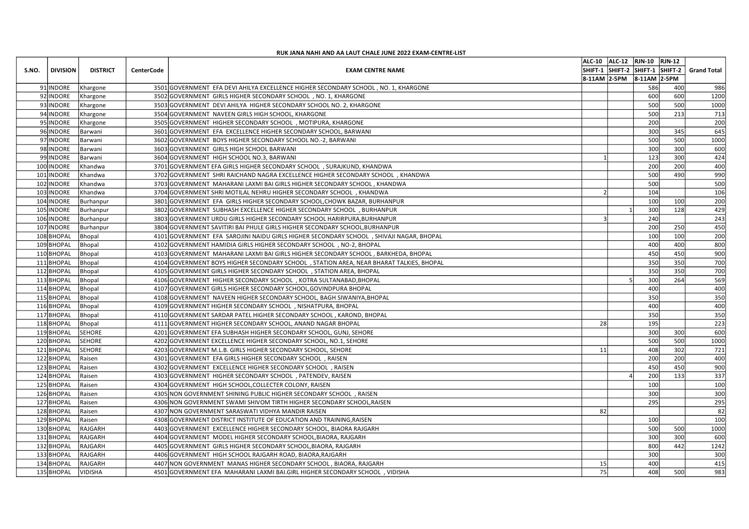|                                              |                   | RUK JANA NAHI AND AA LAUT CHALE JUNE 2022 EXAM-CENTRE-LIST                                                                                                |    | ALC-10 ALC-12 RJN-10 RJN-12 |            |                                             |
|----------------------------------------------|-------------------|-----------------------------------------------------------------------------------------------------------------------------------------------------------|----|-----------------------------|------------|---------------------------------------------|
| <b>DISTRICT</b><br>S.NO.<br>  DIVISION       | <b>CenterCode</b> | <b>EXAM CENTRE NAME</b>                                                                                                                                   |    |                             |            | SHIFT-1 SHIFT-2 SHIFT-1 SHIFT-2 Grand Total |
| 91 INDORE Khargone                           |                   | 3501 GOVERNMENT EFA DEVI AHILYA EXCELLENCE HIGHER SECONDARY SCHOOL, NO. 1, KHARGONE                                                                       |    | 8-11AM 2-5PM 8-11AM 2-5PM   | 586        | 400<br>986                                  |
| 92 INDORE Khargone                           |                   | 3502 GOVERNMENT GIRLS HIGHER SECONDARY SCHOOL, NO. 1, KHARGONE                                                                                            |    |                             | 600        | 600<br>1200                                 |
| 93 INDORE Khargone                           |                   | 3503 GOVERNMENT DEVI AHILYA HIGHER SECONDARY SCHOOL NO. 2, KHARGONE                                                                                       |    |                             | 500        | 500<br>1000                                 |
| 94 INDORE<br>Khargone<br>95 INDORE Khargone  |                   | 3504 GOVERNMENT NAVEEN GIRLS HIGH SCHOOL, KHARGONE<br>3505 GOVERNMENT HIGHER SECONDARY SCHOOL, MOTIPURA, KHARGONE                                         |    |                             | 500<br>200 | 213<br>713<br>200                           |
| 96 INDORE<br>Barwani                         |                   | 3601 GOVERNMENT EFA EXCELLENCE HIGHER SECONDARY SCHOOL, BARWANI                                                                                           |    |                             | 300        | 645<br>345                                  |
| 97 INDORE<br>Barwani                         |                   | 3602 GOVERNMENT BOYS HIGHER SECONDARY SCHOOL NO.-2, BARWANI                                                                                               |    |                             | 500        | 500<br>1000                                 |
| 98 INDORE<br>Barwani<br>99 INDORE Barwani    |                   | 3603 GOVERNMENT GIRLS HIGH SCHOOL BARWANI<br>3604 GOVERNMENT HIGH SCHOOL NO.3, BARWANI                                                                    |    |                             | 300<br>123 | 300<br>600<br>300<br>424                    |
| 100 INDORE Khandwa                           |                   | 3701 GOVERNMENT EFA GIRLS HIGHER SECONDARY SCHOOL, SURAJKUND, KHANDWA                                                                                     |    |                             | 200        | 200<br>400                                  |
| 101 INDORE<br>Khandwa<br>102 INDORE          |                   | 3702 GOVERNMENT SHRI RAICHAND NAGRA EXCELLENCE HIGHER SECONDARY SCHOOL, KHANDWA                                                                           |    |                             | 500<br>500 | 490<br>990<br>500                           |
| Khandwa<br>103 INDORE<br>Khandwa             |                   | 3703 GOVERNMENT MAHARANI LAXMI BAI GIRLS HIGHER SECONDARY SCHOOL, KHANDWA<br>3704 GOVERNMENT SHRI MOTILAL NEHRU HIGHER SECONDARY SCHOOL, KHANDWA          |    |                             | 104        | 106                                         |
| 104 INDORE Burhanpur                         |                   | 3801 GOVERNMENT EFA GIRLS HIGHER SECONDARY SCHOOL, CHOWK BAZAR, BURHANPUR                                                                                 |    |                             | 100        | 200<br>100                                  |
| 105 INDORE Burhanpur<br>106 INDORE Burhanpur |                   | 3802 GOVERNMENT SUBHASH EXCELLENCE HIGHER SECONDARY SCHOOL, BURHANPUR<br>3803 GOVERNMENT URDU GIRLS HIGHER SECONDARY SCHOOL HARIRPURA.BURHANPUR           |    |                             | 300<br>240 | 128<br>429<br>243                           |
| 107 INDORE<br>Burhanpur                      |                   | 3804 GOVERNMENT SAVITIRI BAI PHULE GIRLS HIGHER SECONDARY SCHOOL, BURHANPUR                                                                               |    |                             | 200        | 450<br>250                                  |
| 108 BHOPAL Bhopal                            |                   | 4101 GOVERNMENT EFA SAROJINI NAIDU GIRLS HIGHER SECONDARY SCHOOL , SHIVAJI NAGAR, BHOPAL                                                                  |    |                             | 100        | 100<br>200                                  |
| 109BHOPAL Bhopal<br>110BHOPAL Bhopal         |                   | 4102 GOVERNMENT HAMIDIA GIRLS HIGHER SECONDARY SCHOOL, NO-2, BHOPAL<br>4103 GOVERNMENT MAHARANI LAXMI BAI GIRLS HIGHER SECONDARY SCHOOL, BARKHEDA, BHOPAL |    |                             | 400<br>450 | 400<br>800<br>450<br>900                    |
| 111 BHOPAL Bhopal                            |                   | 4104 GOVERNMENT BOYS HIGHER SECONDARY SCHOOL, STATION AREA, NEAR BHARAT TALKIES, BHOPAL                                                                   |    |                             | 350        | 350<br>700                                  |
| 112 BHOPAL Bhopal                            |                   | 4105 GOVERNMENT GIRLS HIGHER SECONDARY SCHOOL, STATION AREA, BHOPAL                                                                                       |    |                             | 350        | 700<br>350                                  |
| 113 BHOPAL Bhopal<br>114BHOPAL Bhopal        |                   | 4106 GOVERNMENT HIGHER SECONDARY SCHOOL, KOTRA SULTANABAD, BHOPAL<br>4107 GOVERNMENT GIRLS HIGHER SECONDARY SCHOOL, GOVINDPURA BHOPAL                     |    |                             | 300<br>400 | 264<br>569<br>400                           |
| 115 BHOPAL Bhopal                            |                   | 4108 GOVERNMENT NAVEEN HIGHER SECONDARY SCHOOL, BAGH SIWANIYA, BHOPAL                                                                                     |    |                             | 350        | 350                                         |
| 116 BHOPAL Bhopal                            |                   | 4109 GOVERNMENT HIGHER SECONDARY SCHOOL, NISHATPURA, BHOPAL                                                                                               |    |                             | 400        | 400                                         |
| 117 BHOPAL Bhopal<br>118 BHOPAL Bhopal       |                   | 4110 GOVERNMENT SARDAR PATEL HIGHER SECONDARY SCHOOL, KAROND, BHOPAL<br>4111 GOVERNMENT HIGHER SECONDARY SCHOOL, ANAND NAGAR BHOPAL                       | 28 |                             | 350<br>195 | 350<br>223                                  |
| 119 BHOPAL SEHORE                            |                   | 4201 GOVERNMENT EFA SUBHASH HIGHER SECONDARY SCHOOL, GUNJ, SEHORE                                                                                         |    |                             | 300        | 300<br>600                                  |
| 120 BHOPAL SEHORE                            |                   | 4202 GOVERNMENT EXCELLENCE HIGHER SECONDARY SCHOOL, NO.1, SEHORE                                                                                          |    |                             | 500        | 500<br>1000                                 |
| 121BHOPAL SEHORE<br>122 BHOPAL Raisen        |                   | 4203 GOVERNMENT M.L.B. GIRLS HIGHER SECONDARY SCHOOL, SEHORE<br>4301 GOVERNMENT EFA GIRLS HIGHER SECONDARY SCHOOL, RAISEN                                 | 11 |                             | 408<br>200 | 302<br>721<br>200<br>400                    |
| 123BHOPAL Raisen                             |                   | 4302 GOVERNMENT EXCELLENCE HIGHER SECONDARY SCHOOL, RAISEN                                                                                                |    |                             | 450        | 450<br>900                                  |
| 124 BHOPAL Raisen                            |                   | 4303 GOVERNMENT HIGHER SECONDARY SCHOOL, PATENDEV, RAISEN                                                                                                 |    |                             | 200        | 337<br>133                                  |
| 125 BHOPAL Raisen<br>126 BHOPAL Raisen       |                   | 4304 GOVERNMENT HIGH SCHOOL, COLLECTER COLONY, RAISEN<br>4305 NON GOVERNMENT SHINING PUBLIC HIGHER SECONDARY SCHOOL, RAISEN                               |    |                             | 100<br>300 | 100<br>300                                  |
| 127BHOPAL Raisen                             |                   | 4306 NON GOVERNMENT SWAMI SHIVOM TIRTH HIGHER SECONDARY SCHOOL, RAISEN                                                                                    |    |                             | 295        | 295                                         |
| 128 BHOPAL Raisen                            |                   | 4307 NON GOVERNMENT SARASWATI VIDHYA MANDIR RAISEN                                                                                                        | 82 |                             |            | 82                                          |
| 129 BHOPAL Raisen<br>130 BHOPAL RAJGARH      |                   | 4308 GOVERNMENT DISTRICT INSTITUTE OF EDUCATION AND TRAINING, RAISEN<br>4403 GOVERNMENT EXCELLENCE HIGHER SECONDARY SCHOOL, BIAORA RAJGARH                |    |                             | 100<br>500 | 100<br>500<br>1000                          |
| 131 BHOPAL RAJGARH                           |                   | 4404 GOVERNMENT MODEL HIGHER SECONDARY SCHOOL, BIAORA, RAJGARH                                                                                            |    |                             | 300        | 300<br>600                                  |
| 132 BHOPAL RAJGARH                           |                   | 4405 GOVERNMENT GIRLS HIGHER SECONDARY SCHOOL, BIAORA, RAJGARH                                                                                            |    |                             | 800        | 442<br>1242                                 |
| 133 BHOPAL RAJGARH<br>134 BHOPAL RAJGARH     |                   | 4406 GOVERNMENT HIGH SCHOOL RAJGARH ROAD, BIAORA, RAJGARH<br>4407 NON GOVERNMENT MANAS HIGHER SECONDARY SCHOOL, BIAORA, RAJGARH                           | 15 |                             | 300<br>400 | 300<br>415                                  |
|                                              |                   | 4501 GOVERNMENT EFA MAHARANI LAXMI BAI.GIRL HIGHER SECONDARY SCHOOL, VIDISHA                                                                              | 75 |                             | 408        | 500<br>983                                  |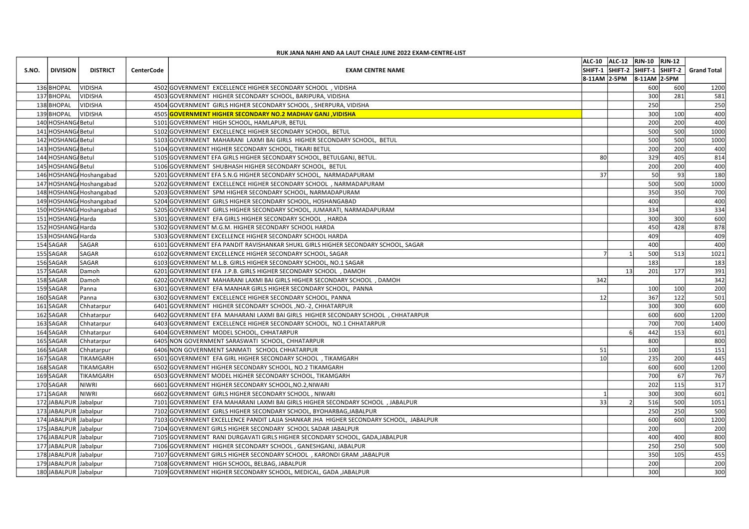|                                                        |                   | RUK JANA NAHI AND AA LAUT CHALE JUNE 2022 EXAM-CENTRE-LIST                                                                                   | ALC-10 ALC-12 RJN-10 RJN-12                                              |                  |            |              |  |
|--------------------------------------------------------|-------------------|----------------------------------------------------------------------------------------------------------------------------------------------|--------------------------------------------------------------------------|------------------|------------|--------------|--|
| S.NO.   DIVISION<br><b>DISTRICT</b>                    | <b>CenterCode</b> | <b>EXAM CENTRE NAME</b>                                                                                                                      | SHIFT-1 SHIFT-2 SHIFT-1 SHIFT-2 Grand Total<br>8-11AM 2-5PM 8-11AM 2-5PM |                  |            |              |  |
| 136BHOPAL<br><b>VIDISHA</b>                            |                   | 4502 GOVERNMENT EXCELLENCE HIGHER SECONDARY SCHOOL, VIDISHA                                                                                  |                                                                          | 600              | 600        | 1200         |  |
| 137 BHOPAL VIDISHA<br>138BHOPAL<br>VIDISHA             |                   | 4503 GOVERNMENT HIGHER SECONDARY SCHOOL, BARIPURA, VIDISHA<br>4504 GOVERNMENT GIRLS HIGHER SECONDARY SCHOOL, SHERPURA, VIDISHA               |                                                                          | 300<br>250       | 281        | 581<br>250   |  |
| 139 BHOPAL VIDISHA                                     |                   | 4505 GOVERNMENT HIGHER SECONDARY NO.2 MADHAV GANJ, VIDISHA                                                                                   |                                                                          | 300              | 100        | 400          |  |
| 140 HOSHANG Betul                                      |                   | 5101 GOVERNMENT HIGH SCHOOL, HAMLAPUR, BETUL                                                                                                 |                                                                          | 200              | 200        | 400          |  |
| 141 HOSHANG Betul<br>142 HOSHANG Betul                 |                   | 5102 GOVERNMENT EXCELLENCE HIGHER SECONDARY SCHOOL, BETUL<br>5103 GOVERNMENT MAHARANI LAXMI BAI GIRLS HIGHER SECONDARY SCHOOL, BETUL         |                                                                          | 500<br>500       | 500<br>500 | 1000<br>1000 |  |
| 143 HOSHANG Betul                                      |                   | 5104 GOVERNMENT HIGHER SECONDARY SCHOOL, TIKARI BETUL                                                                                        |                                                                          | 200              | 200        | 400          |  |
| 144 HOSHANG Betul                                      |                   | 5105 GOVERNMENT EFA GIRLS HIGHER SECONDARY SCHOOL, BETULGANJ, BETUL.                                                                         | 80                                                                       | 329              | 405        | 814          |  |
| 145 HOSHANG Betul<br>146 HOSHANG Hoshangabad           |                   | 5106 GOVERNMENT SHUBHASH HIGHER SECONDARY SCHOOL, BETUL<br>5201 GOVERNMENT EFA S.N.G HIGHER SECONDARY SCHOOL, NARMADAPURAM                   | 37                                                                       | 200<br>50        | 200<br>93  | 400<br>180   |  |
| 147 HOSHANG Hoshangabad                                |                   | 5202 GOVERNMENT EXCELLENCE HIGHER SECONDARY SCHOOL, NARMADAPURAM                                                                             |                                                                          | 500              | 500        | 1000         |  |
| 148 HOSHANG Hoshangabad<br>149 HOSHANG Hoshangabad     |                   | 5203 GOVERNMENT SPM HIGHER SECONDARY SCHOOL, NARMADAPURAM<br>5204 GOVERNMENT GIRLS HIGHER SECONDARY SCHOOL, HOSHANGABAD                      |                                                                          | 350<br>400       | 350        | 700<br>400   |  |
| 150 HOSHANG Hoshangabad                                |                   | 5205 GOVERNMENT GIRLS HIGHER SECONDARY SCHOOL, JUMARATI, NARMADAPURAM                                                                        |                                                                          | 334              |            | 334          |  |
| 151 HOSHANG Harda                                      |                   | 5301 GOVERNMENT EFA GIRLS HIGHER SECONDARY SCHOOL, HARDA                                                                                     |                                                                          | 300              | 300        | 600          |  |
| 152 HOSHANG Harda<br>153 HOSHANG Harda                 |                   | 5302 GOVERNMENT M.G.M. HIGHER SECONDARY SCHOOL HARDA<br>5303 GOVERNMENT EXCELLENCE HIGHER SECONDARY SCHOOL HARDA                             |                                                                          | 450<br>409       | 428        | 878<br>409   |  |
| 154 SAGAR<br><b>SAGAR</b>                              |                   | 6101 GOVERNMENT EFA PANDIT RAVISHANKAR SHUKL GIRLS HIGHER SECONDARY SCHOOL, SAGAR                                                            |                                                                          | 400              |            | 400          |  |
| 155 SAGAR<br>SAGAR                                     |                   | 6102 GOVERNMENT EXCELLENCE HIGHER SECONDARY SCHOOL, SAGAR                                                                                    |                                                                          | 500              | 513        | 1021         |  |
| SAGAR<br>156 SAGAR<br>157 SAGAR<br>Damoh               |                   | 6103 GOVERNMENT M.L.B. GIRLS HIGHER SECONDARY SCHOOL, NO.1 SAGAR<br>6201 GOVERNMENT EFA J.P.B. GIRLS HIGHER SECONDARY SCHOOL, DAMOH          |                                                                          | 183<br>201<br>13 | 177        | 183<br>391   |  |
| 158 SAGAR<br>Damoh                                     |                   | 6202 GOVERNMENT MAHARANI LAXMI BAI GIRLS HIGHER SECONDARY SCHOOL, DAMOH                                                                      | 342                                                                      |                  |            | 342          |  |
| 159 SAGAR<br>Panna                                     |                   | 6301 GOVERNMENT EFA MANHAR GIRLS HIGHER SECONDARY SCHOOL, PANNA                                                                              |                                                                          | 100              | 100        | 200          |  |
| 160 SAGAR<br>Panna<br>161SAGAR<br>Chhatarpur           |                   | 6302 GOVERNMENT EXCELLENCE HIGHER SECONDARY SCHOOL, PANNA<br>6401 GOVERNMENT HIGHER SECONDARY SCHOOL, NO.-2, CHHATARPUR                      | 12                                                                       | 367<br>300       | 122<br>300 | 501<br>600   |  |
| 162 SAGAR<br>Chhatarpur                                |                   | 6402 GOVERNMENT EFA MAHARANI LAXMI BAI GIRLS HIGHER SECONDARY SCHOOL, CHHATARPUR                                                             |                                                                          | 600              | 600        | 1200         |  |
| 163 SAGAR<br>Chhatarpur<br>164 SAGAR<br>Chhatarpur     |                   | 6403 GOVERNMENT EXCELLENCE HIGHER SECONDARY SCHOOL, NO.1 CHHATARPUR<br>6404 GOVERNMENT MODEL SCHOOL, CHHATARPUR                              |                                                                          | 700<br>442       | 700<br>153 | 1400<br>601  |  |
| 165 SAGAR<br>Chhatarpur                                |                   | 6405 NON GOVERNMENT SARASWATI SCHOOL, CHHATARPUR                                                                                             |                                                                          | 800              |            | 800          |  |
| 166 SAGAR<br>Chhatarpur                                |                   | 6406 NON GOVERNMENT SANMATI SCHOOL CHHATARPUR                                                                                                | 51                                                                       | 100              |            | 151          |  |
| 167 SAGAR<br>TIKAMGARH<br>168SAGAR<br><b>TIKAMGARH</b> |                   | 6501 GOVERNMENT EFA GIRL HIGHER SECONDARY SCHOOL, TIKAMGARH<br>6502 GOVERNMENT HIGHER SECONDARY SCHOOL, NO.2 TIKAMGARH                       | 10 <sup>1</sup>                                                          | 235<br>600       | 200<br>600 | 445<br>1200  |  |
| 169 SAGAR<br>TIKAMGARH                                 |                   | 6503 GOVERNMENT MODEL HIGHER SECONDARY SCHOOL, TIKAMGARH                                                                                     |                                                                          | 700              | 67         | 767          |  |
| 170 SAGAR<br>NIWRI                                     |                   | 6601 GOVERNMENT HIGHER SECONDARY SCHOOL, NO.2, NIWARI                                                                                        |                                                                          | 202              | 115        | 317          |  |
| 171SAGAR<br>NIWRI<br>172JJABALPUR Jabalpur             |                   | 6602 GOVERNMENT GIRLS HIGHER SECONDARY SCHOOL, NIWARI<br>7101 GOVERNMENT EFA MAHARANI LAXMI BAI GIRLS HIGHER SECONDARY SCHOOL, JABALPUR      | 33                                                                       | 300<br>516       | 300<br>500 | 601<br>1051  |  |
| 173JJABALPUR Jabalpur                                  |                   | 7102 GOVERNMENT GIRLS HIGHER SECONDARY SCHOOL, BYOHARBAG, JABALPUR                                                                           |                                                                          | 250              | 250        | 500          |  |
| 174 JABALPUR Jabalpur                                  |                   | 7103 GOVERNMENT EXCELLENCE PANDIT LAJJA SHANKAR JHA HIGHER SECONDARY SCHOOL, JABALPUR                                                        |                                                                          | 600              | 600        | 1200         |  |
| 175JJABALPUR Jabalpur<br>176JABALPUR Jabalpur          |                   | 7104 GOVERNMENT GIRLS HIGHER SECONDARY SCHOOL SADAR JABALPUR<br>7105 GOVERNMENT RANI DURGAVATI GIRLS HIGHER SECONDARY SCHOOL, GADA, JABALPUR |                                                                          | 200<br>400       | 400        | 200<br>800   |  |
| 177JJABALPUR Jabalpur                                  |                   | 7106 GOVERNMENT HIGHER SECONDARY SCHOOL, GANESHGANJ, JABALPUR                                                                                |                                                                          | 250              | 250        | 500          |  |
| 178JABALPUR Jabalpur                                   |                   | 7107 GOVERNMENT GIRLS HIGHER SECONDARY SCHOOL, KARONDI GRAM ,JABALPUR                                                                        |                                                                          | 350              | 105        | 455          |  |
| 179JABALPUR Jabalpur<br>180JABALPUR Jabalpur           |                   | 7108 GOVERNMENT HIGH SCHOOL, BELBAG, JABALPUR<br>7109 GOVERNMENT HIGHER SECONDARY SCHOOL, MEDICAL, GADA , JABALPUR                           |                                                                          | 200<br>300       |            | 200<br>300   |  |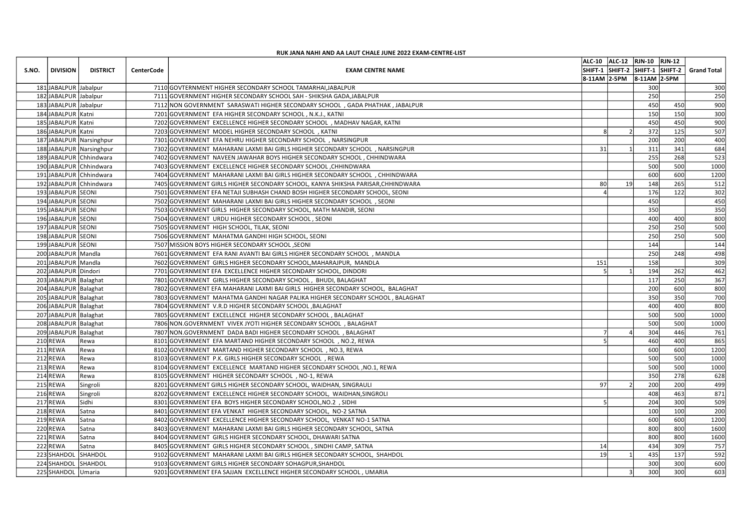|       |                                              |                                                      |                   | RUK JANA NAHI AND AA LAUT CHALE JUNE 2022 EXAM-CENTRE-LIST                                                                                                       | ALC-10 ALC-12 RJN-10 RJN-12                                                              |
|-------|----------------------------------------------|------------------------------------------------------|-------------------|------------------------------------------------------------------------------------------------------------------------------------------------------------------|------------------------------------------------------------------------------------------|
| S.NO. | DIVISION                                     | <b>DISTRICT</b>                                      | <b>CenterCode</b> | <b>EXAM CENTRE NAME</b>                                                                                                                                          | SHIFT-1 SHIFT-2 SHIFT-1 SHIFT-2 Grand Total<br>$ 8-11$ AM $ 2-5$ PM $ 8-11$ AM $ 2-5$ PM |
|       | 181JABALPUR Jabalpur                         |                                                      |                   | 7110 GOVTERNMENT HIGHER SECONDARY SCHOOL TAMARHAI, JABALPUR                                                                                                      | 300<br>300                                                                               |
|       | 182 JABALPUR Jabalpur                        |                                                      |                   | 7111 GOVERNMENT HIGHER SECONDARY SCHOOL SAH - SHIKSHA GADA, JABALPUR                                                                                             | 250<br>250                                                                               |
|       | 183JJABALPUR Jabalpur<br>184JJABALPUR Katni  |                                                      |                   | 7112 NON GOVERNMENT SARASWATI HIGHER SECONDARY SCHOOL, GADA PHATHAK, JABALPUR<br>7201 GOVERNMENT EFA HIGHER SECONDARY SCHOOL, N.K.J., KATNI                      | 900<br>450<br>450<br>150<br>150<br>300                                                   |
|       | 185JJABALPUR Katni                           |                                                      |                   | 7202 GOVERNMENT EXCELLENCE HIGHER SECONDARY SCHOOL, MADHAV NAGAR, KATNI                                                                                          | 450<br>450<br>900                                                                        |
|       | 186JABALPUR Katni                            |                                                      |                   | 7203 GOVERNMENT MODEL HIGHER SECONDARY SCHOOL, KATNI                                                                                                             | 125<br>372<br>507                                                                        |
|       |                                              | 187 JABALPUR Narsinghpur<br>188 JABALPUR Narsinghpur |                   | 7301 GOVERNMENT EFA NEHRU HIGHER SECONDARY SCHOOL, NARSINGPUR<br>7302 GOVERNMENT MAHARANI LAXMI BAI GIRLS HIGHER SECONDARY SCHOOL, NARSINGPUR                    | 200<br>200<br>400<br>311<br>341<br>684<br>31                                             |
|       |                                              | 189JABALPUR Chhindwara                               |                   | 7402 GOVERNMENT NAVEEN JAWAHAR BOYS HIGHER SECONDARY SCHOOL, CHHINDWARA                                                                                          | 255<br>268<br>523                                                                        |
|       |                                              | 190JABALPUR Chhindwara                               |                   | 7403 GOVERNMENT EXCELLENCE HIGHER SECONDARY SCHOOL, CHHINDWARA                                                                                                   | 500<br>500<br>1000                                                                       |
|       |                                              | 191JABALPUR Chhindwara<br>192JABALPUR Chhindwara     |                   | 7404 GOVERNMENT MAHARANI LAXMI BAI GIRLS HIGHER SECONDARY SCHOOL, CHHINDWARA<br>7405 GOVERNMENT GIRLS HIGHER SECONDARY SCHOOL, KANYA SHIKSHA PARISAR, CHHINDWARA | 600<br>600<br>1200<br>265<br>80<br>148<br>512<br>19                                      |
|       | 193 JABALPUR SEONI                           |                                                      |                   | 7501 GOVERNMENT EFA NETAJI SUBHASH CHAND BOSH HIGHER SECONDARY SCHOOL, SEONI                                                                                     | 122<br>176<br>302                                                                        |
|       | 194JABALPUR SEONI                            |                                                      |                   | 7502 GOVERNMENT MAHARANI LAXMI BAI GIRLS HIGHER SECONDARY SCHOOL, SEONI                                                                                          | 450<br>450                                                                               |
|       | 195JABALPUR SEONI<br>196JABALPUR SEONI       |                                                      |                   | 7503 GOVERNMENT GIRLS HIGHER SECONDARY SCHOOL, MATH MANDIR, SEONI<br>7504 GOVERNMENT URDU HIGHER SECONDARY SCHOOL, SEONI                                         | 350<br>350<br>400<br>400<br>800                                                          |
|       | 197JJABALPUR SEONI                           |                                                      |                   | 7505 GOVERNMENT HIGH SCHOOL, TILAK, SEONI                                                                                                                        | 250<br>250<br>500                                                                        |
|       | 198JABALPUR SEONI<br>199JABALPUR SEONI       |                                                      |                   | 7506 GOVERNMENT MAHATMA GANDHI HIGH SCHOOL, SEONI<br>7507 MISSION BOYS HIGHER SECONDARY SCHOOL , SEONI                                                           | 250<br>250<br>500<br>144<br>144                                                          |
|       | 200JABALPUR Mandla                           |                                                      |                   | 7601 GOVERNMENT EFA RANI AVANTI BAI GIRLS HIGHER SECONDARY SCHOOL, MANDLA                                                                                        | 248<br>498<br>250                                                                        |
|       | 201JABALPUR Mandla                           |                                                      |                   | 7602 GOVERNMENT GIRLS HIGHER SECONDARY SCHOOL, MAHARAJPUR, MANDLA                                                                                                | 309<br>158<br>151                                                                        |
|       | 202JABALPUR Dindori<br>203 JABALPUR Balaghat |                                                      |                   | 7701 GOVERNMENT EFA EXCELLENCE HIGHER SECONDARY SCHOOL, DINDORI                                                                                                  | 194<br>462<br>262                                                                        |
|       | 204 JABALPUR Balaghat                        |                                                      |                   | 7801 GOVERNMENT GIRLS HIGHER SECONDARY SCHOOL, BHUDI, BALAGHAT<br>7802 GOVERNMENT EFA MAHARANI LAXMI BAI GIRLS HIGHER SECONDARY SCHOOL, BALAGHAT                 | 250<br>367<br>117<br>200<br>600<br>800                                                   |
|       | 205JABALPUR Balaghat                         |                                                      |                   | 7803 GOVERNMENT MAHATMA GANDHI NAGAR PALIKA HIGHER SECONDARY SCHOOL, BALAGHAT                                                                                    | 350<br>350<br>700                                                                        |
|       | 206JABALPUR Balaghat<br>207JABALPUR Balaghat |                                                      |                   | 7804 GOVERNMENT V.R.D HIGHER SECONDARY SCHOOL , BALAGHAT                                                                                                         | 400<br>800<br>400<br>500<br>1000                                                         |
|       | 208JABALPUR Balaghat                         |                                                      |                   | 7805 GOVERNMENT EXCELLENCE HIGHER SECONDARY SCHOOL, BALAGHAT<br>7806 NON.GOVERNMENT VIVEK JYOTI HIGHER SECONDARY SCHOOL, BALAGHAT                                | 500<br>500<br>500<br>1000                                                                |
|       | 209JABALPUR Balaghat                         |                                                      |                   | 7807 NON GOVERNMENT DADA BADI HIGHER SECONDARY SCHOOL, BALAGHAT                                                                                                  | 446<br>304<br>761                                                                        |
|       | 210 REWA<br>211REWA                          | Rewa                                                 |                   | 8101 GOVERNMENT EFA MARTAND HIGHER SECONDARY SCHOOL, NO.2, REWA                                                                                                  | 400<br>865<br>460<br>600<br>1200                                                         |
|       | $212$ REWA                                   | Rewa<br>Rewa                                         |                   | 8102 GOVERNMENT MARTAND HIGHER SECONDARY SCHOOL, NO.3, REWA<br>8103 GOVERNMENT P.K. GIRLS HIGHER SECONDARY SCHOOL, REWA                                          | 600<br>500<br>500<br>1000                                                                |
|       | 213REWA                                      | Rewa                                                 |                   | 8104 GOVERNMENT EXCELLENCE MARTAND HIGHER SECONDARY SCHOOL , NO.1, REWA                                                                                          | 500<br>500<br>1000                                                                       |
|       | 214 REWA<br>215 REWA                         | Rewa                                                 |                   | 8105 GOVERNMENT HIGHER SECONDARY SCHOOL, NO-1, REWA                                                                                                              | 278<br>350<br>628<br>200<br>499<br>97                                                    |
|       | 216REWA                                      | Singroli<br>Singroli                                 |                   | 8201 GOVERNMENT GIRLS HIGHER SECONDARY SCHOOL, WAIDHAN, SINGRAULI<br>8202 GOVERNMENT EXCELLENCE HIGHER SECONDARY SCHOOL, WAIDHAN, SINGROLI                       | 200<br>408<br>463<br>871                                                                 |
|       | 217 REWA                                     | Sidhi                                                |                   | 8301 GOVERNMENT EFA BOYS HIGHER SECONDARY SCHOOL, NO.2 , SIDHI                                                                                                   | 300<br>509<br>204                                                                        |
|       | 218REWA                                      | Satna                                                |                   | 8401 GOVERNMENT EFA VENKAT HIGHER SECONDARY SCHOOL, NO-2 SATNA                                                                                                   | 100<br>100<br>200                                                                        |
|       | 219REWA<br>220 REWA                          | Satna<br>Satna                                       |                   | 8402 GOVERNMENT EXCELLENCE HIGHER SECONDARY SCHOOL, VENKAT NO-1 SATNA<br>8403 GOVERNMENT MAHARANI LAXMI BAI GIRLS HIGHER SECONDARY SCHOOL, SATNA                 | 600<br>600<br>1200<br>800<br>800<br>1600                                                 |
|       | 221REWA                                      | Satna                                                |                   | 8404 GOVERNMENT GIRLS HIGHER SECONDARY SCHOOL, DHAWARI SATNA                                                                                                     | 800<br>800<br>1600                                                                       |
|       | 222 REWA                                     | Satna                                                |                   | 8405 GOVERNMENT GIRLS HIGHER SECONDARY SCHOOL, SINDHI CAMP, SATNA                                                                                                | 309<br>434<br>757<br>14                                                                  |
|       | 223 SHAHDOL SHAHDOL<br>224 SHAHDOL SHAHDOL   |                                                      |                   | 9102 GOVERNMENT MAHARANI LAXMI BAI GIRLS HIGHER SECONDARY SCHOOL, SHAHDOL<br>9103 GOVERNMENT GIRLS HIGHER SECONDARY SOHAGPUR, SHAHDOL                            | 592<br>19<br>435<br>137<br>300<br>300<br>600                                             |
|       | 225 SHAHDOL Umaria                           |                                                      |                   | 9201 GOVERNMENT EFA SAJJAN EXCELLENCE HIGHER SECONDARY SCHOOL, UMARIA                                                                                            | 300<br>300<br>603                                                                        |